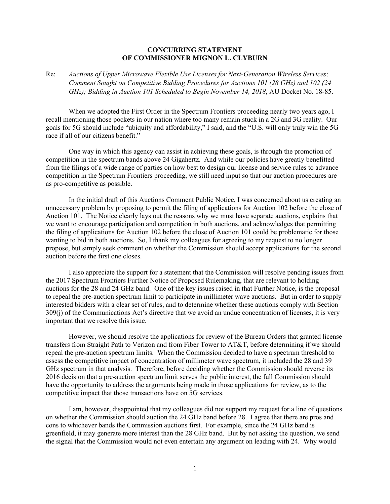## **CONCURRING STATEMENT OF COMMISSIONER MIGNON L. CLYBURN**

Re: *Auctions of Upper Microwave Flexible Use Licenses for Next-Generation Wireless Services; Comment Sought on Competitive Bidding Procedures for Auctions 101 (28 GHz) and 102 (24 GHz); Bidding in Auction 101 Scheduled to Begin November 14, 2018*, AU Docket No. 18-85.

When we adopted the First Order in the Spectrum Frontiers proceeding nearly two years ago, I recall mentioning those pockets in our nation where too many remain stuck in a 2G and 3G reality. Our goals for 5G should include "ubiquity and affordability," I said, and the "U.S. will only truly win the 5G race if all of our citizens benefit."

One way in which this agency can assist in achieving these goals, is through the promotion of competition in the spectrum bands above 24 Gigahertz. And while our policies have greatly benefitted from the filings of a wide range of parties on how best to design our license and service rules to advance competition in the Spectrum Frontiers proceeding, we still need input so that our auction procedures are as pro-competitive as possible.

In the initial draft of this Auctions Comment Public Notice, I was concerned about us creating an unnecessary problem by proposing to permit the filing of applications for Auction 102 before the close of Auction 101. The Notice clearly lays out the reasons why we must have separate auctions, explains that we want to encourage participation and competition in both auctions, and acknowledges that permitting the filing of applications for Auction 102 before the close of Auction 101 could be problematic for those wanting to bid in both auctions. So, I thank my colleagues for agreeing to my request to no longer propose, but simply seek comment on whether the Commission should accept applications for the second auction before the first one closes.

I also appreciate the support for a statement that the Commission will resolve pending issues from the 2017 Spectrum Frontiers Further Notice of Proposed Rulemaking, that are relevant to holding auctions for the 28 and 24 GHz band. One of the key issues raised in that Further Notice, is the proposal to repeal the pre-auction spectrum limit to participate in millimeter wave auctions. But in order to supply interested bidders with a clear set of rules, and to determine whether these auctions comply with Section 309(j) of the Communications Act's directive that we avoid an undue concentration of licenses, it is very important that we resolve this issue.

However, we should resolve the applications for review of the Bureau Orders that granted license transfers from Straight Path to Verizon and from Fiber Tower to AT&T, before determining if we should repeal the pre-auction spectrum limits. When the Commission decided to have a spectrum threshold to assess the competitive impact of concentration of millimeter wave spectrum, it included the 28 and 39 GHz spectrum in that analysis. Therefore, before deciding whether the Commission should reverse its 2016 decision that a pre-auction spectrum limit serves the public interest, the full Commission should have the opportunity to address the arguments being made in those applications for review, as to the competitive impact that those transactions have on 5G services.

I am, however, disappointed that my colleagues did not support my request for a line of questions on whether the Commission should auction the 24 GHz band before 28. I agree that there are pros and cons to whichever bands the Commission auctions first. For example, since the 24 GHz band is greenfield, it may generate more interest than the 28 GHz band. But by not asking the question, we send the signal that the Commission would not even entertain any argument on leading with 24. Why would